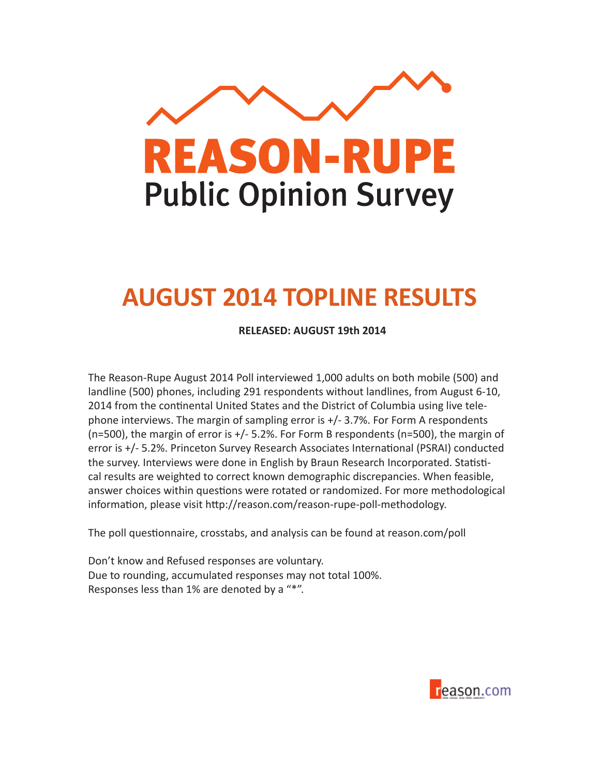

# **AUGUST 2014 TOPLINE RESULTS**

**RELEASED: AUGUST 19th 2014**

The Reason-Rupe August 2014 Poll interviewed 1,000 adults on both mobile (500) and landline (500) phones, including 291 respondents without landlines, from August 6-10, 2014 from the continental United States and the District of Columbia using live telephone interviews. The margin of sampling error is +/- 3.7%. For Form A respondents (n=500), the margin of error is +/- 5.2%. For Form B respondents (n=500), the margin of error is +/- 5.2%. Princeton Survey Research Associates International (PSRAI) conducted the survey. Interviews were done in English by Braun Research Incorporated. Statistical results are weighted to correct known demographic discrepancies. When feasible, answer choices within questions were rotated or randomized. For more methodological information, please visit http://reason.com/reason-rupe-poll-methodology.

The poll questionnaire, crosstabs, and analysis can be found at reason.com/poll

Don't know and Refused responses are voluntary. Due to rounding, accumulated responses may not total 100%. Responses less than 1% are denoted by a "\*".

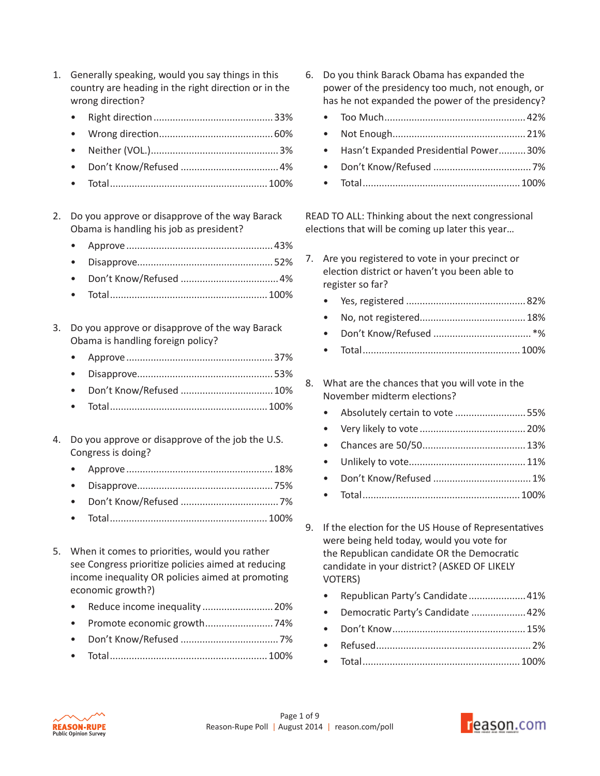- 1. Generally speaking, would you say things in this country are heading in the right direction or in the wrong direction?
	- Right direction............................................33%
	- Wrong direction..........................................60%
	- Neither (VOL.)...............................................3%
	- Don't Know/Refused ....................................4%
	- Total..........................................................100%
- 2. Do you approve or disapprove of the way Barack Obama is handling his job as president?
	- Approve......................................................43%
	- Disapprove..................................................52%
	- Don't Know/Refused ....................................4%
	- Total..........................................................100%
- 3. Do you approve or disapprove of the way Barack Obama is handling foreign policy?
	- Approve......................................................37%
	- Disapprove..................................................53%
	- Don't Know/Refused ..................................10%
	- Total..........................................................100%
- 4. Do you approve or disapprove of the job the U.S. Congress is doing?
	- Approve......................................................18%
	- Disapprove..................................................75%
	- Don't Know/Refused ....................................7%
	- Total..........................................................100%
- 5. When it comes to priorities, would you rather see Congress prioritize policies aimed at reducing income inequality OR policies aimed at promoting economic growth?)
	- Reduce income inequality ..........................20%
	- Promote economic growth.........................74%
	- Don't Know/Refused ....................................7%
	- Total..........................................................100%
- 6. Do you think Barack Obama has expanded the power of the presidency too much, not enough, or has he not expanded the power of the presidency?
	- Too Much....................................................42%
	- Not Enough.................................................21%
	- Hasn't Expanded Presidential Power..........30%
	- Don't Know/Refused ....................................7%
	- Total..........................................................100%

READ TO ALL: Thinking about the next congressional elections that will be coming up later this year…

- 7. Are you registered to vote in your precinct or election district or haven't you been able to register so far?
	- Yes, registered ............................................82%
	- No, not registered.......................................18%
	- Don't Know/Refused ....................................\*%
	- Total..........................................................100%
- 8. What are the chances that you will vote in the November midterm elections?
	- Absolutely certain to vote ..........................55%
	- Very likely to vote .......................................20%
	- Chances are 50/50......................................13%
	- Unlikely to vote...........................................11%
	- Don't Know/Refused ....................................1%
	- Total..........................................................100%
- 9. If the election for the US House of Representatives were being held today, would you vote for the Republican candidate OR the Democratic candidate in your district? (ASKED OF LIKELY VOTERS)
	- Republican Party's Candidate.....................41%
	- Democratic Party's Candidate ....................42%
	- Don't Know.................................................15%
	- Refused.........................................................2%
	- Total..........................................................100%



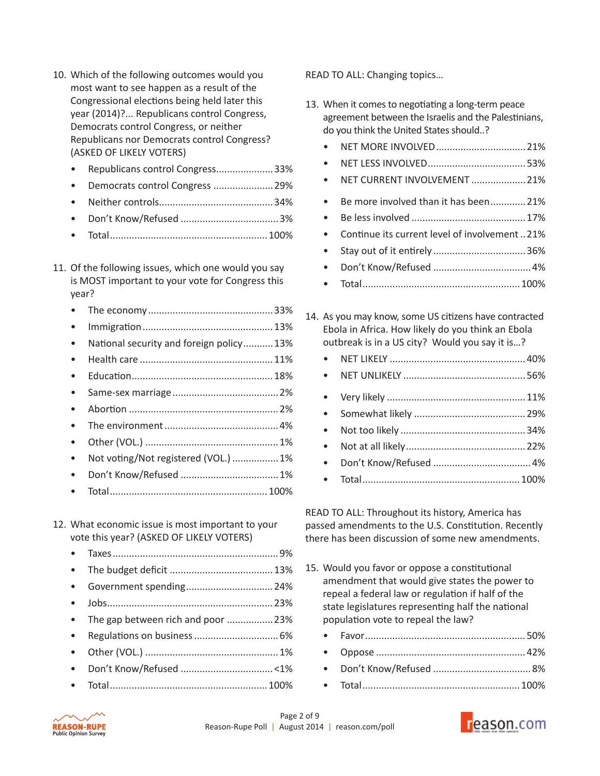- 10. Which of the following outcomes would you most want to see happen as a result of the Congressional elections being held later this year (2014)?... Republicans control Congress, Democrats control Congress, or neither Republicans nor Democrats control Congress? (ASKED OF LIKELY VOTERS)
	- Republicans control Congress.....................33%
	- Democrats control Congress ......................29%
	- Neither controls..........................................34%
	- Don't Know/Refused ....................................3%
	- Total..........................................................100%
- 11. Of the following issues, which one would you say is MOST important to your vote for Congress this year?
	- The economy..............................................33%
	- Immigration................................................13%
	- National security and foreign policy...........13%
	- Health care .................................................11%
	- Education....................................................18%
	- Same-sex marriage.......................................2%
	- Abortion .......................................................2%
	- The environment..........................................4%
	- Other (VOL.) .................................................1%
	- Not voting/Not registered (VOL.) .................1%
	- Don't Know/Refused ....................................1%
	- Total..........................................................100%

## 12. What economic issue is most important to your vote this year? (ASKED OF LIKELY VOTERS)

- Taxes.............................................................9%
- The budget deficit ......................................13%
- Government spending................................24%
- Jobs.............................................................23%
- The gap between rich and poor ................. 23%
- Regulations on business...............................6%
- Other (VOL.) .................................................1%
- Don't Know/Refused ..................................<1%
- Total..........................................................100%

READ TO ALL: Changing topics…

- 13. When it comes to negotiating a long-term peace agreement between the Israelis and the Palestinians, do you think the United States should..?
	- NET MORE INVOLVED.................................21%
	- NET LESS INVOLVED....................................53%
	- NET CURRENT INVOLVEMENT ....................21%
	- Be more involved than it has been.............21%
	- Be less involved ..........................................17%
	- Continue its current level of involvement ..21%
	- Stay out of it entirely ..................................36%
	- Don't Know/Refused ....................................4%
	- Total..........................................................100%
- 14. As you may know, some US citizens have contracted Ebola in Africa. How likely do you think an Ebola outbreak is in a US city? Would you say it is…?
	- NET LIKELY ..................................................40%
	- NET UNLIKELY .............................................56%
	- Very likely ...................................................11%
	- Somewhat likely .........................................29%
	- Not too likely ..............................................34%
	- Not at all likely............................................22%
	- Don't Know/Refused ....................................4%
	- Total..........................................................100%

READ TO ALL: Throughout its history, America has passed amendments to the U.S. Constitution. Recently there has been discussion of some new amendments.

- 15. Would you favor or oppose a constitutional amendment that would give states the power to repeal a federal law or regulation if half of the state legislatures representing half the national population vote to repeal the law?
	- Favor...........................................................50%
	- Oppose .......................................................42%
	- Don't Know/Refused ....................................8%
	- Total..........................................................100%



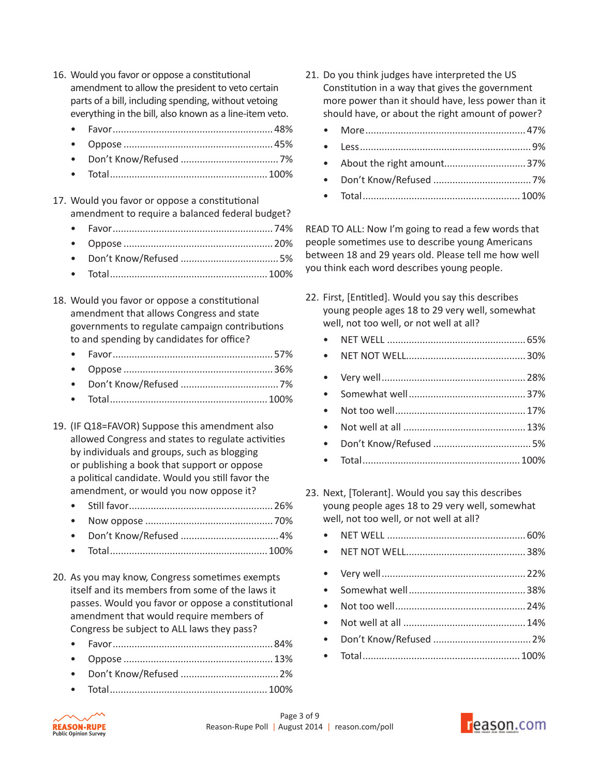- 16. Would you favor or oppose a constitutional amendment to allow the president to veto certain parts of a bill, including spending, without vetoing everything in the bill, also known as a line-item veto.
	- Favor...........................................................48%
	- Oppose .......................................................45%
	- Don't Know/Refused ....................................7%
	- Total..........................................................100%
- 17. Would you favor or oppose a constitutional amendment to require a balanced federal budget?
	- Favor...........................................................74%
	- Oppose .......................................................20%
	- Don't Know/Refused ....................................5%
	- Total..........................................................100%
- 18. Would you favor or oppose a constitutional amendment that allows Congress and state governments to regulate campaign contributions to and spending by candidates for office?
	- Favor...........................................................57%
	- Oppose .......................................................36%
	- Don't Know/Refused ....................................7%
	- Total..........................................................100%
- 19. (IF Q18=FAVOR) Suppose this amendment also allowed Congress and states to regulate activities by individuals and groups, such as blogging or publishing a book that support or oppose a political candidate. Would you still favor the amendment, or would you now oppose it?
	- Still favor.....................................................26%
	- Now oppose ...............................................70%
	- Don't Know/Refused ....................................4%
	- Total..........................................................100%
- 20. As you may know, Congress sometimes exempts itself and its members from some of the laws it passes. Would you favor or oppose a constitutional amendment that would require members of Congress be subject to ALL laws they pass?
	- Favor...........................................................84%
	- Oppose .......................................................13%
	- Don't Know/Refused ....................................2%
	- Total..........................................................100%
- 21. Do you think judges have interpreted the US Constitution in a way that gives the government more power than it should have, less power than it should have, or about the right amount of power?
	- More...........................................................47%
	- Less...............................................................9%
	- About the right amount..............................37%
	- Don't Know/Refused ....................................7%
	- Total..........................................................100%

READ TO ALL: Now I'm going to read a few words that people sometimes use to describe young Americans between 18 and 29 years old. Please tell me how well you think each word describes young people.

- 22. First, [Entitled]. Would you say this describes young people ages 18 to 29 very well, somewhat well, not too well, or not well at all?
	- NET WELL ...................................................65%
	- NET NOT WELL............................................30%
	- Very well.....................................................28%
	- Somewhat well...........................................37%
	- Not too well................................................17%
	- Not well at all .............................................13%
	- Don't Know/Refused ....................................5%
	- Total..........................................................100%
- 23. Next, [Tolerant]. Would you say this describes young people ages 18 to 29 very well, somewhat well, not too well, or not well at all?

• Total..........................................................100%



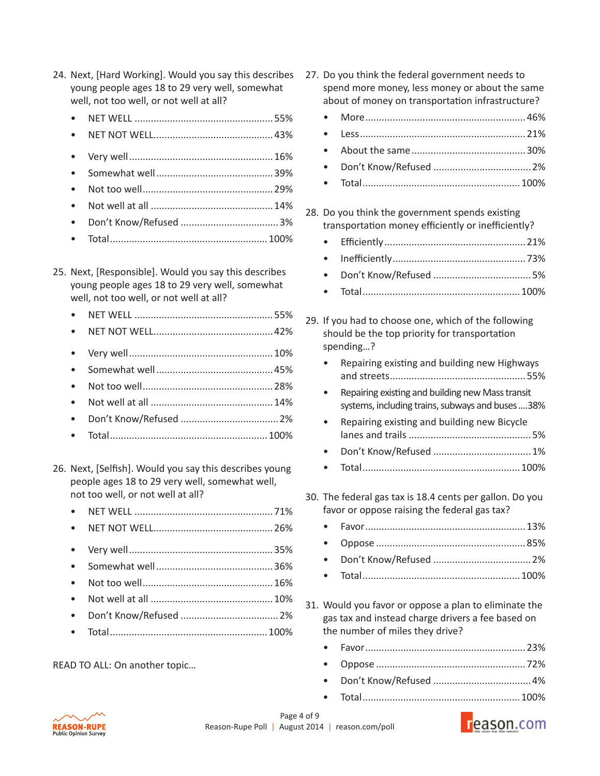- 24. Next, [Hard Working]. Would you say this describes young people ages 18 to 29 very well, somewhat well, not too well, or not well at all?
	- NET WELL ...................................................55%
	- NET NOT WELL............................................43%
	- Very well.....................................................16%
	- Somewhat well...........................................39%
	- Not too well................................................29%
	- Not well at all .............................................14%
	- Don't Know/Refused ....................................3%
	- Total..........................................................100%
- 25. Next, [Responsible]. Would you say this describes young people ages 18 to 29 very well, somewhat well, not too well, or not well at all?
	- NET WELL ...................................................55%
	- NET NOT WELL............................................42%
	- Very well.....................................................10%
	- Somewhat well...........................................45%
	- Not too well................................................28%
	- Not well at all .............................................14%
	- Don't Know/Refused ....................................2%
	- Total..........................................................100%
- 26. Next, [Selfish]. Would you say this describes young people ages 18 to 29 very well, somewhat well, not too well, or not well at all?
	- NET WELL ...................................................71%
	- NET NOT WELL............................................26%
	- Very well.....................................................35%
	- Somewhat well...........................................36%
	- Not too well................................................16%
	- Not well at all .............................................10%
	- Don't Know/Refused ....................................2%
	- Total..........................................................100%

READ TO ALL: On another topic…

- 27. Do you think the federal government needs to spend more money, less money or about the same about of money on transportation infrastructure?
- More...........................................................46% • Less.............................................................21% • About the same..........................................30% • Don't Know/Refused ....................................2% • Total..........................................................100% 28. Do you think the government spends existing transportation money efficiently or inefficiently? • Efficiently....................................................21% • Inefficiently.................................................73% • Don't Know/Refused ....................................5% • Total..........................................................100% 29. If you had to choose one, which of the following should be the top priority for transportation spending…? • Repairing existing and building new Highways and streets..................................................55% • Repairing existing and building new Mass transit systems, including trains, subways and buses....38% • Repairing existing and building new Bicycle lanes and trails .............................................5% • Don't Know/Refused ....................................1% • Total..........................................................100% 30. The federal gas tax is 18.4 cents per gallon. Do you favor or oppose raising the federal gas tax? • Favor...........................................................13% • Oppose .......................................................85% • Don't Know/Refused ....................................2% • Total..........................................................100%
- 31. Would you favor or oppose a plan to eliminate the gas tax and instead charge drivers a fee based on the number of miles they drive?
	- Favor...........................................................23% • Oppose .......................................................72% • Don't Know/Refused ....................................4% • Total..........................................................100%



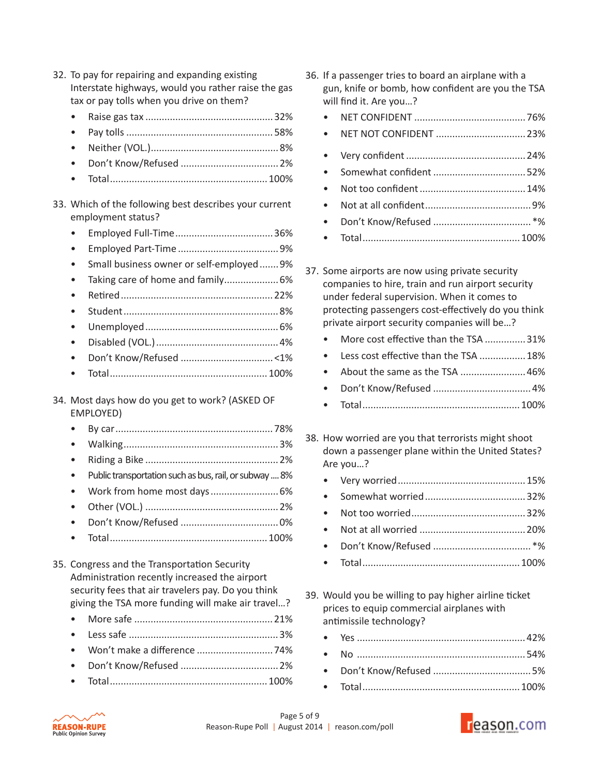| 32. To pay for repairing and expanding existing<br>Interstate highways, would you rather raise the gas<br>tax or pay tolls when you drive on them?                                                       |  |
|----------------------------------------------------------------------------------------------------------------------------------------------------------------------------------------------------------|--|
|                                                                                                                                                                                                          |  |
|                                                                                                                                                                                                          |  |
|                                                                                                                                                                                                          |  |
|                                                                                                                                                                                                          |  |
|                                                                                                                                                                                                          |  |
|                                                                                                                                                                                                          |  |
| 33. Which of the following best describes your current<br>employment status?                                                                                                                             |  |
|                                                                                                                                                                                                          |  |
|                                                                                                                                                                                                          |  |
| Small business owner or self-employed9%                                                                                                                                                                  |  |
| Taking care of home and family 6%                                                                                                                                                                        |  |
|                                                                                                                                                                                                          |  |
|                                                                                                                                                                                                          |  |
|                                                                                                                                                                                                          |  |
|                                                                                                                                                                                                          |  |
|                                                                                                                                                                                                          |  |
|                                                                                                                                                                                                          |  |
|                                                                                                                                                                                                          |  |
| 34. Most days how do you get to work? (ASKED OF<br>EMPLOYED)                                                                                                                                             |  |
|                                                                                                                                                                                                          |  |
|                                                                                                                                                                                                          |  |
|                                                                                                                                                                                                          |  |
| Public transportation such as bus, rail, or subway  8%                                                                                                                                                   |  |
| Work from home most days  6%                                                                                                                                                                             |  |
|                                                                                                                                                                                                          |  |
|                                                                                                                                                                                                          |  |
|                                                                                                                                                                                                          |  |
| 35. Congress and the Transportation Security<br>Administration recently increased the airport<br>security fees that air travelers pay. Do you think<br>giving the TSA more funding will make air travel? |  |
|                                                                                                                                                                                                          |  |
|                                                                                                                                                                                                          |  |
|                                                                                                                                                                                                          |  |
|                                                                                                                                                                                                          |  |

36. If a passenger tries to board an airplane with a gun, knife or bomb, how confident are you the TSA will find it. Are you…?

| $\bullet$ |  |
|-----------|--|
| $\bullet$ |  |
| $\bullet$ |  |
| $\bullet$ |  |
| $\bullet$ |  |
| $\bullet$ |  |
| $\bullet$ |  |
|           |  |

- 37. Some airports are now using private security companies to hire, train and run airport security under federal supervision. When it comes to protecting passengers cost-effectively do you think private airport security companies will be…?
	- More cost effective than the TSA ...............31%
	- Less cost effective than the TSA ................. 18%
	- About the same as the TSA ........................46%
	- Don't Know/Refused ....................................4%
	- Total..........................................................100%
- 38. How worried are you that terrorists might shoot down a passenger plane within the United States? Are you…?
	- Very worried...............................................15% • Somewhat worried.....................................32%
	-
	- Not too worried..........................................32% • Not at all worried .......................................20% • Don't Know/Refused ....................................\*%
	- Total..........................................................100%
- 39. Would you be willing to pay higher airline ticket prices to equip commercial airplanes with antimissile technology?
	- Yes ..............................................................42%
	- No ..............................................................54% • Don't Know/Refused ....................................5%
	-
	- Total..........................................................100%



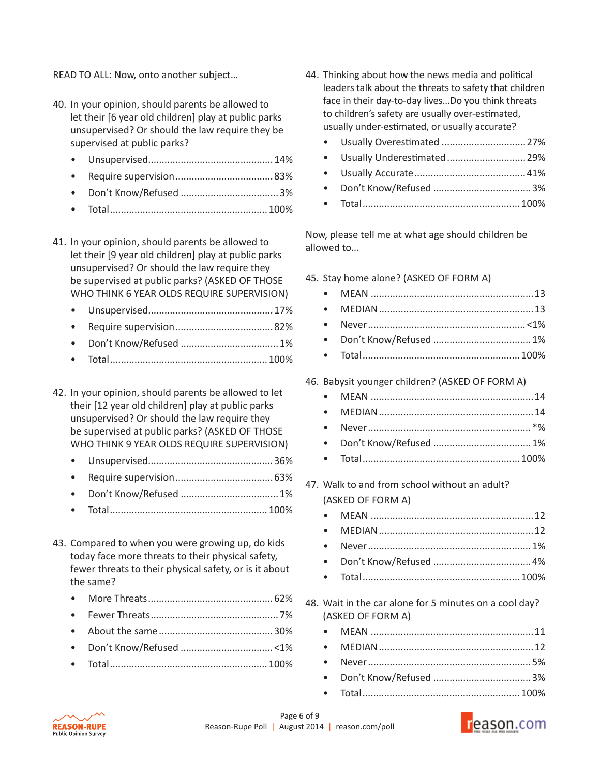READ TO ALL: Now, onto another subject…

- 40. In your opinion, should parents be allowed to let their [6 year old children] play at public parks unsupervised? Or should the law require they be supervised at public parks?
	- Unsupervised..............................................14%
	- Require supervision....................................83%
	- Don't Know/Refused ....................................3%
	- Total..........................................................100%
- 41. In your opinion, should parents be allowed to let their [9 year old children] play at public parks unsupervised? Or should the law require they be supervised at public parks? (ASKED OF THOSE WHO THINK 6 YEAR OLDS REQUIRE SUPERVISION)
	- Unsupervised..............................................17%
	- Require supervision....................................82%
	- Don't Know/Refused ....................................1%
	- Total..........................................................100%

42. In your opinion, should parents be allowed to let their [12 year old children] play at public parks unsupervised? Or should the law require they be supervised at public parks? (ASKED OF THOSE WHO THINK 9 YEAR OLDS REQUIRE SUPERVISION)

- Unsupervised..............................................36%
- Require supervision....................................63%
- Don't Know/Refused ....................................1%
- Total..........................................................100%
- 43. Compared to when you were growing up, do kids today face more threats to their physical safety, fewer threats to their physical safety, or is it about the same?
	- More Threats..............................................62%
	- Fewer Threats...............................................7%
	- About the same..........................................30%
	- Don't Know/Refused ..................................<1%
	- Total..........................................................100%
- 44. Thinking about how the news media and political leaders talk about the threats to safety that children face in their day-to-day lives…Do you think threats to children's safety are usually over-estimated, usually under-estimated, or usually accurate?
	- Usually Overestimated ...............................27% • Usually Underestimated.............................29% • Usually Accurate.........................................41%
	- Don't Know/Refused ....................................3%
	- Total..........................................................100%

Now, please tell me at what age should children be allowed to…

- 45. Stay home alone? (ASKED OF FORM A)
	- MEAN ............................................................13 • MEDIAN.........................................................13 • Never.......................................................... <1% • Don't Know/Refused ....................................1% • Total..........................................................100%
- 46. Babysit younger children? (ASKED OF FORM A)
	- MEAN ............................................................14 • MEDIAN.........................................................14 • Never............................................................ \*% • Don't Know/Refused ....................................1% • Total..........................................................100%
- 47. Walk to and from school without an adult? (ASKED OF FORM A)
	- MEAN ............................................................12 • MEDIAN.........................................................12 • Never............................................................1% • Don't Know/Refused ....................................4%
	- Total..........................................................100%
- 48. Wait in the car alone for 5 minutes on a cool day? (ASKED OF FORM A)



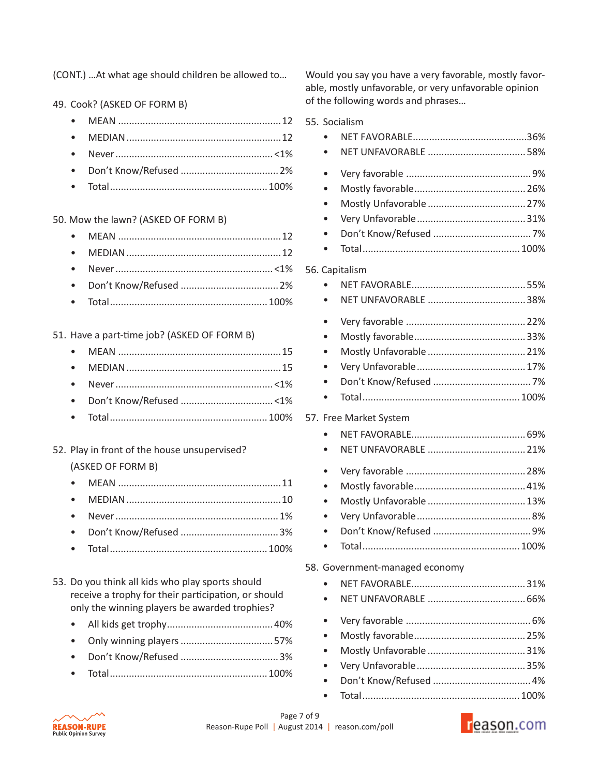(CONT.) …At what age should children be allowed to…

49. Cook? (ASKED OF FORM B)

• Total..........................................................100%

50. Mow the lawn? (ASKED OF FORM B)

• Total..........................................................100%

51. Have a part-time job? (ASKED OF FORM B)

# 52. Play in front of the house unsupervised? (ASKED OF FORM B)

| $T_{\rm eff}$ and $T_{\rm eff}$ and $T_{\rm eff}$ and $T_{\rm eff}$ and $T_{\rm eff}$ and $T_{\rm eff}$ and $T_{\rm eff}$ and $T_{\rm eff}$ and $T_{\rm eff}$ and $T_{\rm eff}$ and $T_{\rm eff}$ and $T_{\rm eff}$ and $T_{\rm eff}$ and $T_{\rm eff}$ and $T_{\rm eff}$ and $T_{\rm eff}$ and $T_{\rm eff}$ and |  |
|-------------------------------------------------------------------------------------------------------------------------------------------------------------------------------------------------------------------------------------------------------------------------------------------------------------------|--|

• Total..........................................................100%

| 53. Do you think all kids who play sports should    |
|-----------------------------------------------------|
| receive a trophy for their participation, or should |
| only the winning players be awarded trophies?       |

- All kids get trophy.......................................40%
- Only winning players..................................57%
- Don't Know/Refused ....................................3%
- Total..........................................................100%

Would you say you have a very favorable, mostly favorable, mostly unfavorable, or very unfavorable opinion of the following words and phrases…

| 55. Socialism                  |  |
|--------------------------------|--|
|                                |  |
|                                |  |
|                                |  |
|                                |  |
|                                |  |
|                                |  |
|                                |  |
|                                |  |
|                                |  |
| 56. Capitalism                 |  |
|                                |  |
|                                |  |
|                                |  |
|                                |  |
|                                |  |
| $\bullet$                      |  |
|                                |  |
|                                |  |
| 57. Free Market System         |  |
|                                |  |
|                                |  |
|                                |  |
|                                |  |
|                                |  |
|                                |  |
|                                |  |
|                                |  |
|                                |  |
| 58. Government-managed economy |  |
|                                |  |
|                                |  |
|                                |  |
|                                |  |
|                                |  |
|                                |  |
|                                |  |
|                                |  |



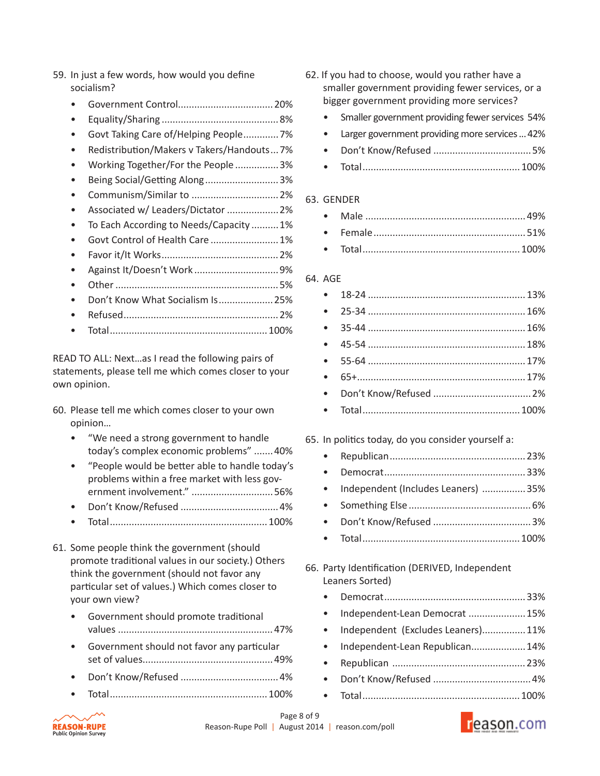- 59. In just a few words, how would you define socialism?
	- Government Control...................................20%
	- Equality/Sharing ...........................................8%
	- Govt Taking Care of/Helping People.............7%
	- Redistribution/Makers v Takers/Handouts...7%
	- Working Together/For the People ................3%
	- Being Social/Getting Along...........................3%
	- Communism/Similar to ................................2%
	- Associated w/ Leaders/Dictator ...................2%
	- To Each According to Needs/Capacity ..........1%
	- Govt Control of Health Care .........................1%
	- Favor it/It Works...........................................2%
	- Against It/Doesn't Work ...............................9%
	- Other............................................................5%
	- Don't Know What Socialism Is....................25%
	- Refused.........................................................2%
	- Total..........................................................100%

READ TO ALL: Next…as I read the following pairs of statements, please tell me which comes closer to your own opinion.

- 60. Please tell me which comes closer to your own opinion…
	- "We need a strong government to handle today's complex economic problems" .......40%
	- "People would be better able to handle today's problems within a free market with less government involvement." ..............................56%
	- Don't Know/Refused ....................................4%
	- Total..........................................................100%
- 61. Some people think the government (should promote traditional values in our society.) Others think the government (should not favor any particular set of values.) Which comes closer to your own view?
	- Government should promote traditional values .........................................................47%
	- Government should not favor any particular set of values................................................49%
	- Don't Know/Refused ....................................4%
	- Total..........................................................100%
- 62. If you had to choose, would you rather have a smaller government providing fewer services, or a bigger government providing more services?
	- Smaller government providing fewer services 54%
	- Larger government providing more services ... 42%
	- Don't Know/Refused ....................................5%
	- Total..........................................................100%

#### 63. GENDER

#### 64. AGE

| $\bullet$ |  |
|-----------|--|

## 65. In politics today, do you consider yourself a:

| • Independent (Includes Leaners) 35% |  |
|--------------------------------------|--|
|                                      |  |
|                                      |  |
| • Total $\sim$ 100%                  |  |

- 66. Party Identification (DERIVED, Independent Leaners Sorted)
	- Democrat....................................................33%
	- Independent-Lean Democrat .....................15%
	- Independent (Excludes Leaners)................11%
	- Independent-Lean Republican....................14%
	- Republican .................................................23%
	- Don't Know/Refused ....................................4%
	- Total..........................................................100%